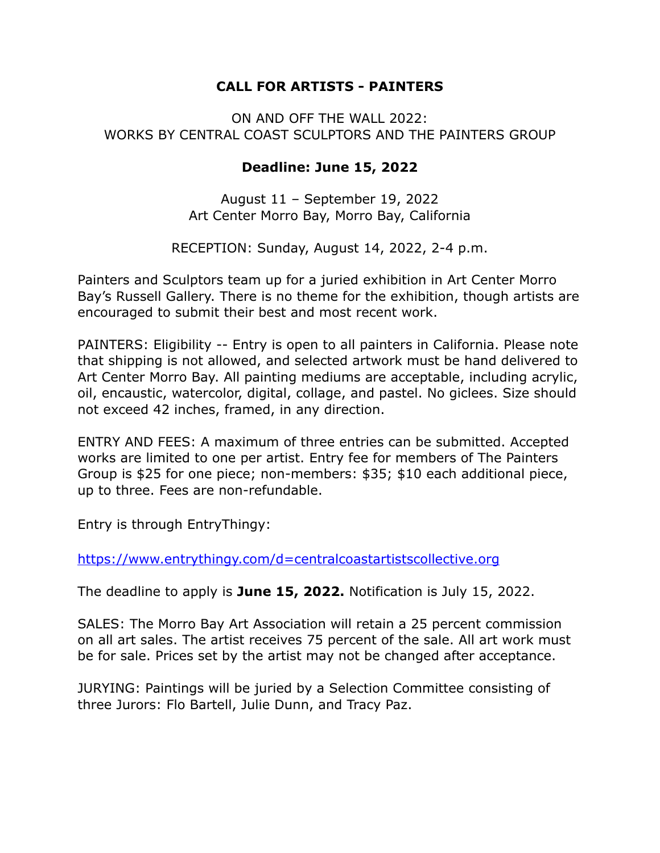## **CALL FOR ARTISTS - PAINTERS**

## ON AND OFF THE WALL 2022: WORKS BY CENTRAL COAST SCULPTORS AND THE PAINTERS GROUP

## **Deadline: June 15, 2022**

August 11 – September 19, 2022 Art Center Morro Bay, Morro Bay, California

RECEPTION: Sunday, August 14, 2022, 2-4 p.m.

Painters and Sculptors team up for a juried exhibition in Art Center Morro Bay's Russell Gallery. There is no theme for the exhibition, though artists are encouraged to submit their best and most recent work.

PAINTERS: Eligibility -- Entry is open to all painters in California. Please note that shipping is not allowed, and selected artwork must be hand delivered to Art Center Morro Bay. All painting mediums are acceptable, including acrylic, oil, encaustic, watercolor, digital, collage, and pastel. No giclees. Size should not exceed 42 inches, framed, in any direction.

ENTRY AND FEES: A maximum of three entries can be submitted. Accepted works are limited to one per artist. Entry fee for members of The Painters Group is \$25 for one piece; non-members: \$35; \$10 each additional piece, up to three. Fees are non-refundable.

Entry is through EntryThingy:

<https://www.entrythingy.com/d=centralcoastartistscollective.org>

The deadline to apply is **June 15, 2022.** Notification is July 15, 2022.

SALES: The Morro Bay Art Association will retain a 25 percent commission on all art sales. The artist receives 75 percent of the sale. All art work must be for sale. Prices set by the artist may not be changed after acceptance.

JURYING: Paintings will be juried by a Selection Committee consisting of three Jurors: Flo Bartell, Julie Dunn, and Tracy Paz.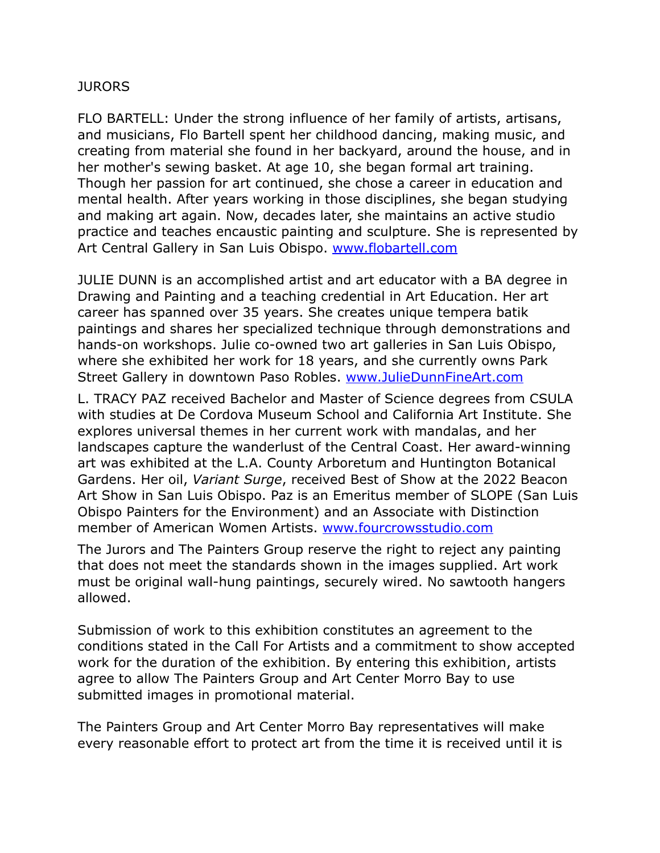## **JURORS**

FLO BARTELL: Under the strong influence of her family of artists, artisans, and musicians, Flo Bartell spent her childhood dancing, making music, and creating from material she found in her backyard, around the house, and in her mother's sewing basket. At age 10, she began formal art training. Though her passion for art continued, she chose a career in education and mental health. After years working in those disciplines, she began studying and making art again. Now, decades later, she maintains an active studio practice and teaches encaustic painting and sculpture. She is represented by Art Central Gallery in San Luis Obispo. [www.flobartell.com](http://www.flobartell.com)

JULIE DUNN is an accomplished artist and art educator with a BA degree in Drawing and Painting and a teaching credential in Art Education. Her art career has spanned over 35 years. She creates unique tempera batik paintings and shares her specialized technique through demonstrations and hands-on workshops. Julie co-owned two art galleries in San Luis Obispo, where she exhibited her work for 18 years, and she currently owns Park Street Gallery in downtown Paso Robles. [www.JulieDunnFineArt.com](http://www.juliedunnfineart.com/)

L. TRACY PAZ received Bachelor and Master of Science degrees from CSULA with studies at De Cordova Museum School and California Art Institute. She explores universal themes in her current work with mandalas, and her landscapes capture the wanderlust of the Central Coast. Her award-winning art was exhibited at the L.A. County Arboretum and Huntington Botanical Gardens. Her oil, *Variant Surge*, received Best of Show at the 2022 Beacon Art Show in San Luis Obispo. Paz is an Emeritus member of SLOPE (San Luis Obispo Painters for the Environment) and an Associate with Distinction member of American Women Artists. [www.fourcrowsstudio.com](http://www.fourcrowsstudio.com)

The Jurors and The Painters Group reserve the right to reject any painting that does not meet the standards shown in the images supplied. Art work must be original wall-hung paintings, securely wired. No sawtooth hangers allowed.

Submission of work to this exhibition constitutes an agreement to the conditions stated in the Call For Artists and a commitment to show accepted work for the duration of the exhibition. By entering this exhibition, artists agree to allow The Painters Group and Art Center Morro Bay to use submitted images in promotional material.

The Painters Group and Art Center Morro Bay representatives will make every reasonable effort to protect art from the time it is received until it is